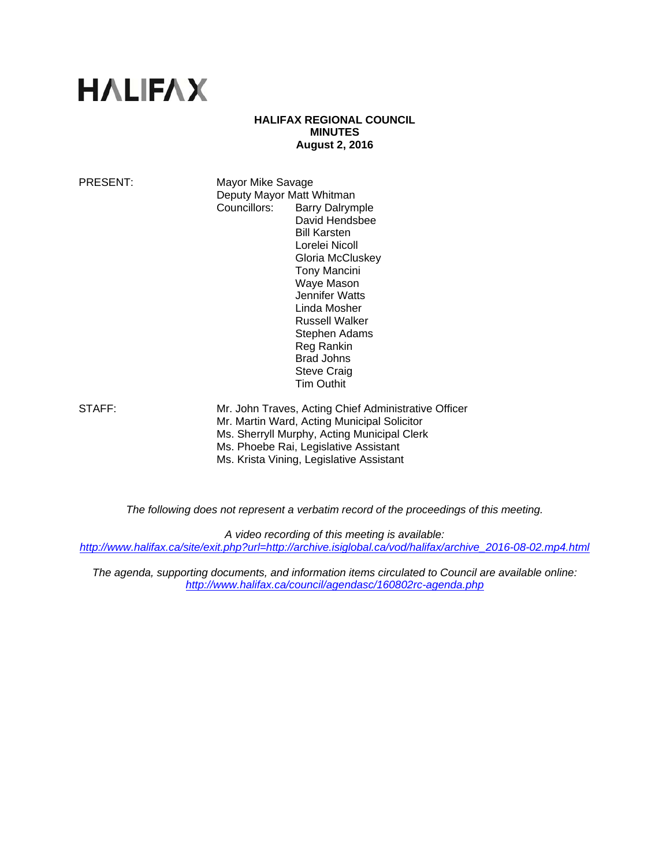# **HALIFAX**

## **HALIFAX REGIONAL COUNCIL MINUTES August 2, 2016**

PRESENT: Mayor Mike Savage Deputy Mayor Matt Whitman Councillors: Barry Dalrymple David Hendsbee Bill Karsten Lorelei Nicoll Gloria McCluskey Tony Mancini Waye Mason Jennifer Watts Linda Mosher Russell Walker Stephen Adams Reg Rankin Brad Johns Steve Craig Tim Outhit

STAFF: Mr. John Traves, Acting Chief Administrative Officer Mr. Martin Ward, Acting Municipal Solicitor Ms. Sherryll Murphy, Acting Municipal Clerk Ms. Phoebe Rai, Legislative Assistant Ms. Krista Vining, Legislative Assistant

*The following does not represent a verbatim record of the proceedings of this meeting.* 

*A video recording of this meeting is available: http://www.halifax.ca/site/exit.php?url=http://archive.isiglobal.ca/vod/halifax/archive\_2016-08-02.mp4.html*

*The agenda, supporting documents, and information items circulated to Council are available online: http://www.halifax.ca/council/agendasc/160802rc-agenda.php*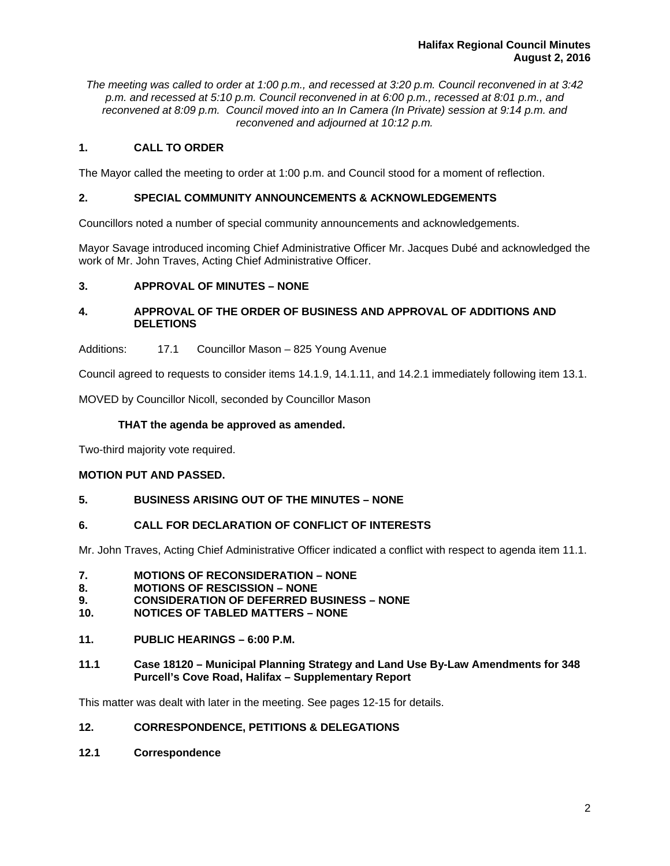*The meeting was called to order at 1:00 p.m., and recessed at 3:20 p.m. Council reconvened in at 3:42 p.m. and recessed at 5:10 p.m. Council reconvened in at 6:00 p.m., recessed at 8:01 p.m., and reconvened at 8:09 p.m. Council moved into an In Camera (In Private) session at 9:14 p.m. and reconvened and adjourned at 10:12 p.m.*

# **1. CALL TO ORDER**

The Mayor called the meeting to order at 1:00 p.m. and Council stood for a moment of reflection.

# **2. SPECIAL COMMUNITY ANNOUNCEMENTS & ACKNOWLEDGEMENTS**

Councillors noted a number of special community announcements and acknowledgements.

Mayor Savage introduced incoming Chief Administrative Officer Mr. Jacques Dubé and acknowledged the work of Mr. John Traves, Acting Chief Administrative Officer.

# **3. APPROVAL OF MINUTES – NONE**

# **4. APPROVAL OF THE ORDER OF BUSINESS AND APPROVAL OF ADDITIONS AND DELETIONS**

Additions: 17.1 Councillor Mason – 825 Young Avenue

Council agreed to requests to consider items 14.1.9, 14.1.11, and 14.2.1 immediately following item 13.1.

MOVED by Councillor Nicoll, seconded by Councillor Mason

# **THAT the agenda be approved as amended.**

Two-third majority vote required.

# **MOTION PUT AND PASSED.**

# **5. BUSINESS ARISING OUT OF THE MINUTES – NONE**

## **6. CALL FOR DECLARATION OF CONFLICT OF INTERESTS**

Mr. John Traves, Acting Chief Administrative Officer indicated a conflict with respect to agenda item 11.1.

- **7. MOTIONS OF RECONSIDERATION NONE**
- **8. MOTIONS OF RESCISSION NONE**
- **9. CONSIDERATION OF DEFERRED BUSINESS NONE**
- **10. NOTICES OF TABLED MATTERS NONE**
- **11. PUBLIC HEARINGS 6:00 P.M.**
- **11.1 Case 18120 Municipal Planning Strategy and Land Use By-Law Amendments for 348 Purcell's Cove Road, Halifax – Supplementary Report**

This matter was dealt with later in the meeting. See pages 12-15 for details.

# **12. CORRESPONDENCE, PETITIONS & DELEGATIONS**

**12.1 Correspondence**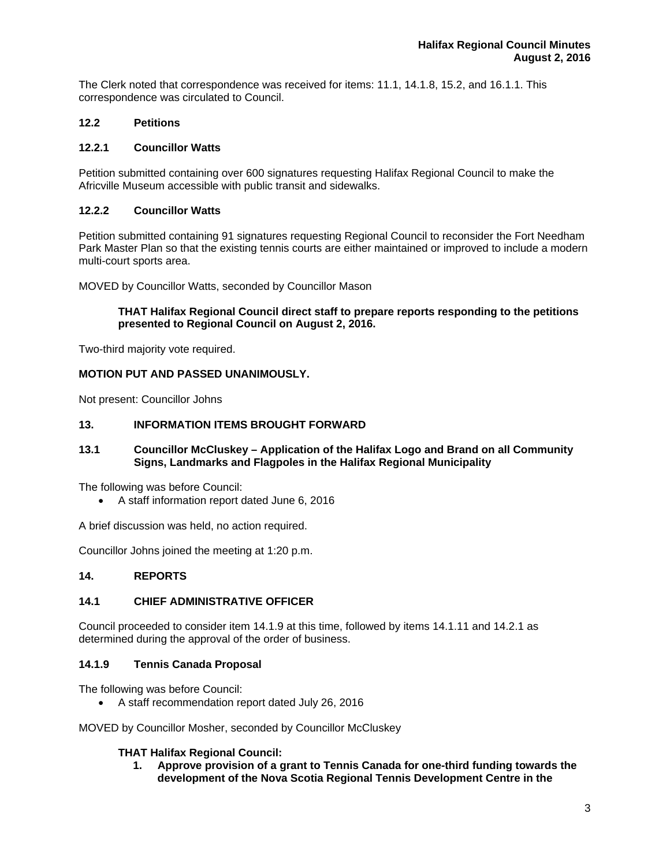The Clerk noted that correspondence was received for items: 11.1, 14.1.8, 15.2, and 16.1.1. This correspondence was circulated to Council.

# **12.2 Petitions**

# **12.2.1 Councillor Watts**

Petition submitted containing over 600 signatures requesting Halifax Regional Council to make the Africville Museum accessible with public transit and sidewalks.

# **12.2.2 Councillor Watts**

Petition submitted containing 91 signatures requesting Regional Council to reconsider the Fort Needham Park Master Plan so that the existing tennis courts are either maintained or improved to include a modern multi-court sports area.

MOVED by Councillor Watts, seconded by Councillor Mason

# **THAT Halifax Regional Council direct staff to prepare reports responding to the petitions presented to Regional Council on August 2, 2016.**

Two-third majority vote required.

# **MOTION PUT AND PASSED UNANIMOUSLY.**

Not present: Councillor Johns

# **13. INFORMATION ITEMS BROUGHT FORWARD**

## **13.1 Councillor McCluskey – Application of the Halifax Logo and Brand on all Community Signs, Landmarks and Flagpoles in the Halifax Regional Municipality**

The following was before Council:

A staff information report dated June 6, 2016

A brief discussion was held, no action required.

Councillor Johns joined the meeting at 1:20 p.m.

# **14. REPORTS**

# **14.1 CHIEF ADMINISTRATIVE OFFICER**

Council proceeded to consider item 14.1.9 at this time, followed by items 14.1.11 and 14.2.1 as determined during the approval of the order of business.

# **14.1.9 Tennis Canada Proposal**

The following was before Council:

A staff recommendation report dated July 26, 2016

MOVED by Councillor Mosher, seconded by Councillor McCluskey

## **THAT Halifax Regional Council:**

**1. Approve provision of a grant to Tennis Canada for one-third funding towards the development of the Nova Scotia Regional Tennis Development Centre in the**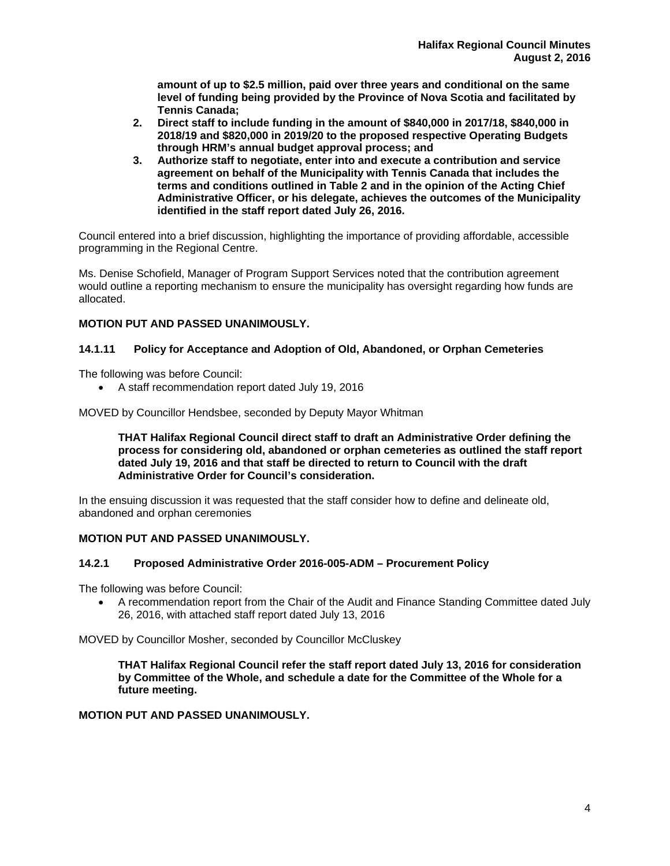**amount of up to \$2.5 million, paid over three years and conditional on the same level of funding being provided by the Province of Nova Scotia and facilitated by Tennis Canada;** 

- **2. Direct staff to include funding in the amount of \$840,000 in 2017/18, \$840,000 in 2018/19 and \$820,000 in 2019/20 to the proposed respective Operating Budgets through HRM's annual budget approval process; and**
- **3. Authorize staff to negotiate, enter into and execute a contribution and service agreement on behalf of the Municipality with Tennis Canada that includes the terms and conditions outlined in Table 2 and in the opinion of the Acting Chief Administrative Officer, or his delegate, achieves the outcomes of the Municipality identified in the staff report dated July 26, 2016.**

Council entered into a brief discussion, highlighting the importance of providing affordable, accessible programming in the Regional Centre.

Ms. Denise Schofield, Manager of Program Support Services noted that the contribution agreement would outline a reporting mechanism to ensure the municipality has oversight regarding how funds are allocated.

# **MOTION PUT AND PASSED UNANIMOUSLY.**

# **14.1.11 Policy for Acceptance and Adoption of Old, Abandoned, or Orphan Cemeteries**

The following was before Council:

A staff recommendation report dated July 19, 2016

MOVED by Councillor Hendsbee, seconded by Deputy Mayor Whitman

**THAT Halifax Regional Council direct staff to draft an Administrative Order defining the process for considering old, abandoned or orphan cemeteries as outlined the staff report dated July 19, 2016 and that staff be directed to return to Council with the draft Administrative Order for Council's consideration.** 

In the ensuing discussion it was requested that the staff consider how to define and delineate old, abandoned and orphan ceremonies

# **MOTION PUT AND PASSED UNANIMOUSLY.**

## **14.2.1 Proposed Administrative Order 2016-005-ADM – Procurement Policy**

The following was before Council:

 A recommendation report from the Chair of the Audit and Finance Standing Committee dated July 26, 2016, with attached staff report dated July 13, 2016

MOVED by Councillor Mosher, seconded by Councillor McCluskey

**THAT Halifax Regional Council refer the staff report dated July 13, 2016 for consideration by Committee of the Whole, and schedule a date for the Committee of the Whole for a future meeting.** 

# **MOTION PUT AND PASSED UNANIMOUSLY.**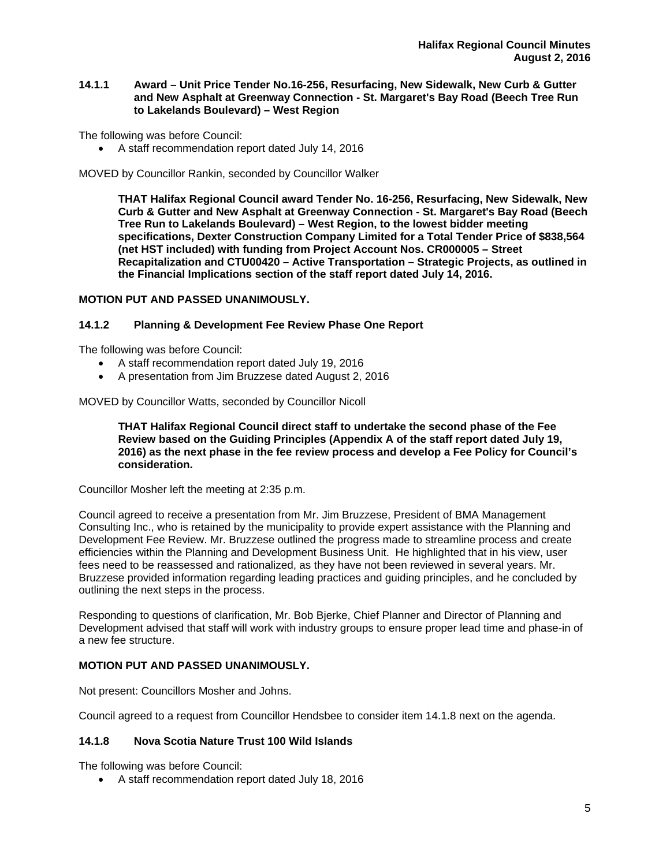## **14.1.1 Award – Unit Price Tender No.16-256, Resurfacing, New Sidewalk, New Curb & Gutter and New Asphalt at Greenway Connection - St. Margaret's Bay Road (Beech Tree Run to Lakelands Boulevard) – West Region**

The following was before Council:

A staff recommendation report dated July 14, 2016

MOVED by Councillor Rankin, seconded by Councillor Walker

**THAT Halifax Regional Council award Tender No. 16-256, Resurfacing, New Sidewalk, New Curb & Gutter and New Asphalt at Greenway Connection - St. Margaret's Bay Road (Beech Tree Run to Lakelands Boulevard) – West Region, to the lowest bidder meeting specifications, Dexter Construction Company Limited for a Total Tender Price of \$838,564 (net HST included) with funding from Project Account Nos. CR000005 – Street Recapitalization and CTU00420 – Active Transportation – Strategic Projects, as outlined in the Financial Implications section of the staff report dated July 14, 2016.** 

## **MOTION PUT AND PASSED UNANIMOUSLY.**

## **14.1.2 Planning & Development Fee Review Phase One Report**

The following was before Council:

- A staff recommendation report dated July 19, 2016
- A presentation from Jim Bruzzese dated August 2, 2016

MOVED by Councillor Watts, seconded by Councillor Nicoll

**THAT Halifax Regional Council direct staff to undertake the second phase of the Fee Review based on the Guiding Principles (Appendix A of the staff report dated July 19, 2016) as the next phase in the fee review process and develop a Fee Policy for Council's consideration.**

Councillor Mosher left the meeting at 2:35 p.m.

Council agreed to receive a presentation from Mr. Jim Bruzzese, President of BMA Management Consulting Inc., who is retained by the municipality to provide expert assistance with the Planning and Development Fee Review. Mr. Bruzzese outlined the progress made to streamline process and create efficiencies within the Planning and Development Business Unit. He highlighted that in his view, user fees need to be reassessed and rationalized, as they have not been reviewed in several years. Mr. Bruzzese provided information regarding leading practices and guiding principles, and he concluded by outlining the next steps in the process.

Responding to questions of clarification, Mr. Bob Bjerke, Chief Planner and Director of Planning and Development advised that staff will work with industry groups to ensure proper lead time and phase-in of a new fee structure.

# **MOTION PUT AND PASSED UNANIMOUSLY.**

Not present: Councillors Mosher and Johns.

Council agreed to a request from Councillor Hendsbee to consider item 14.1.8 next on the agenda.

# **14.1.8 Nova Scotia Nature Trust 100 Wild Islands**

The following was before Council:

A staff recommendation report dated July 18, 2016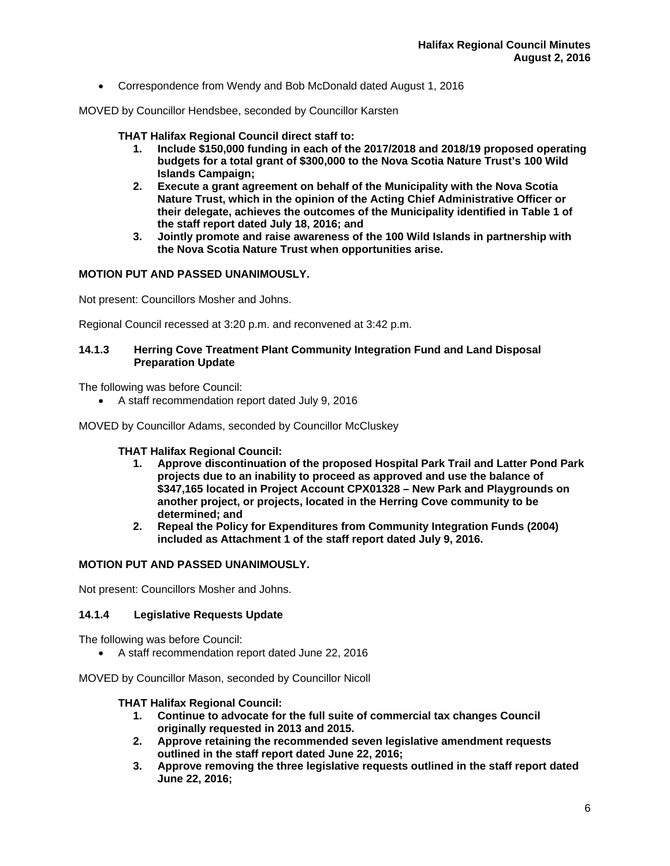Correspondence from Wendy and Bob McDonald dated August 1, 2016

MOVED by Councillor Hendsbee, seconded by Councillor Karsten

#### **THAT Halifax Regional Council direct staff to:**

- **1. Include \$150,000 funding in each of the 2017/2018 and 2018/19 proposed operating budgets for a total grant of \$300,000 to the Nova Scotia Nature Trust's 100 Wild Islands Campaign;**
- **2. Execute a grant agreement on behalf of the Municipality with the Nova Scotia Nature Trust, which in the opinion of the Acting Chief Administrative Officer or their delegate, achieves the outcomes of the Municipality identified in Table 1 of the staff report dated July 18, 2016; and**
- **3. Jointly promote and raise awareness of the 100 Wild Islands in partnership with the Nova Scotia Nature Trust when opportunities arise.**

#### **MOTION PUT AND PASSED UNANIMOUSLY.**

Not present: Councillors Mosher and Johns.

Regional Council recessed at 3:20 p.m. and reconvened at 3:42 p.m.

## **14.1.3 Herring Cove Treatment Plant Community Integration Fund and Land Disposal Preparation Update**

The following was before Council:

A staff recommendation report dated July 9, 2016

MOVED by Councillor Adams, seconded by Councillor McCluskey

## **THAT Halifax Regional Council:**

- **1. Approve discontinuation of the proposed Hospital Park Trail and Latter Pond Park projects due to an inability to proceed as approved and use the balance of \$347,165 located in Project Account CPX01328 – New Park and Playgrounds on another project, or projects, located in the Herring Cove community to be determined; and**
- **2. Repeal the Policy for Expenditures from Community Integration Funds (2004) included as Attachment 1 of the staff report dated July 9, 2016.**

#### **MOTION PUT AND PASSED UNANIMOUSLY.**

Not present: Councillors Mosher and Johns.

## **14.1.4 Legislative Requests Update**

The following was before Council:

A staff recommendation report dated June 22, 2016

MOVED by Councillor Mason, seconded by Councillor Nicoll

#### **THAT Halifax Regional Council:**

- **1. Continue to advocate for the full suite of commercial tax changes Council originally requested in 2013 and 2015.**
- **2. Approve retaining the recommended seven legislative amendment requests outlined in the staff report dated June 22, 2016;**
- **3. Approve removing the three legislative requests outlined in the staff report dated June 22, 2016;**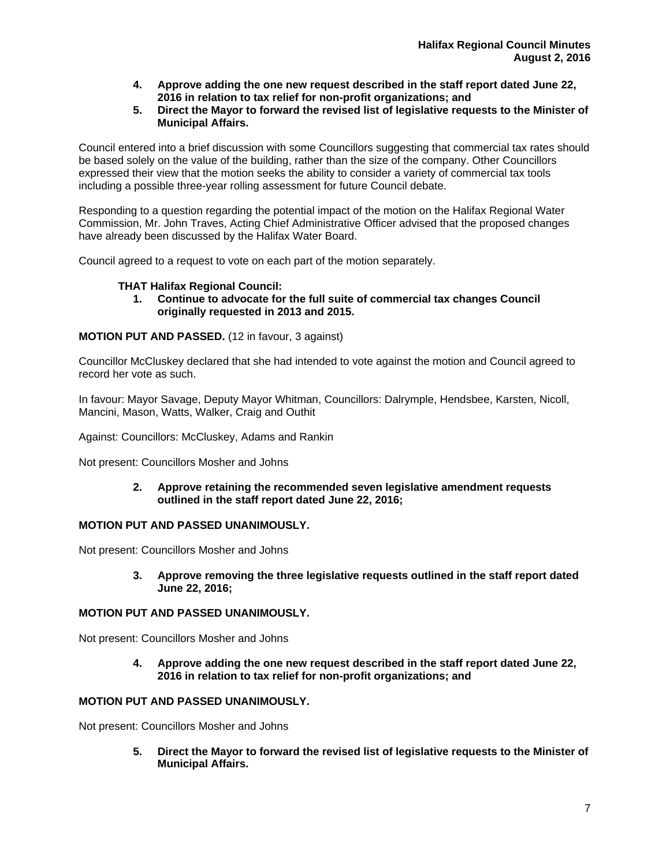- **4. Approve adding the one new request described in the staff report dated June 22, 2016 in relation to tax relief for non-profit organizations; and**
- **5. Direct the Mayor to forward the revised list of legislative requests to the Minister of Municipal Affairs.**

Council entered into a brief discussion with some Councillors suggesting that commercial tax rates should be based solely on the value of the building, rather than the size of the company. Other Councillors expressed their view that the motion seeks the ability to consider a variety of commercial tax tools including a possible three-year rolling assessment for future Council debate.

Responding to a question regarding the potential impact of the motion on the Halifax Regional Water Commission, Mr. John Traves, Acting Chief Administrative Officer advised that the proposed changes have already been discussed by the Halifax Water Board.

Council agreed to a request to vote on each part of the motion separately.

# **THAT Halifax Regional Council:**

**1. Continue to advocate for the full suite of commercial tax changes Council originally requested in 2013 and 2015.** 

# **MOTION PUT AND PASSED.** (12 in favour, 3 against)

Councillor McCluskey declared that she had intended to vote against the motion and Council agreed to record her vote as such.

In favour: Mayor Savage, Deputy Mayor Whitman, Councillors: Dalrymple, Hendsbee, Karsten, Nicoll, Mancini, Mason, Watts, Walker, Craig and Outhit

Against: Councillors: McCluskey, Adams and Rankin

Not present: Councillors Mosher and Johns

**2. Approve retaining the recommended seven legislative amendment requests outlined in the staff report dated June 22, 2016;** 

# **MOTION PUT AND PASSED UNANIMOUSLY.**

Not present: Councillors Mosher and Johns

**3. Approve removing the three legislative requests outlined in the staff report dated June 22, 2016;** 

# **MOTION PUT AND PASSED UNANIMOUSLY.**

Not present: Councillors Mosher and Johns

**4. Approve adding the one new request described in the staff report dated June 22, 2016 in relation to tax relief for non-profit organizations; and** 

# **MOTION PUT AND PASSED UNANIMOUSLY.**

Not present: Councillors Mosher and Johns

**5. Direct the Mayor to forward the revised list of legislative requests to the Minister of Municipal Affairs.**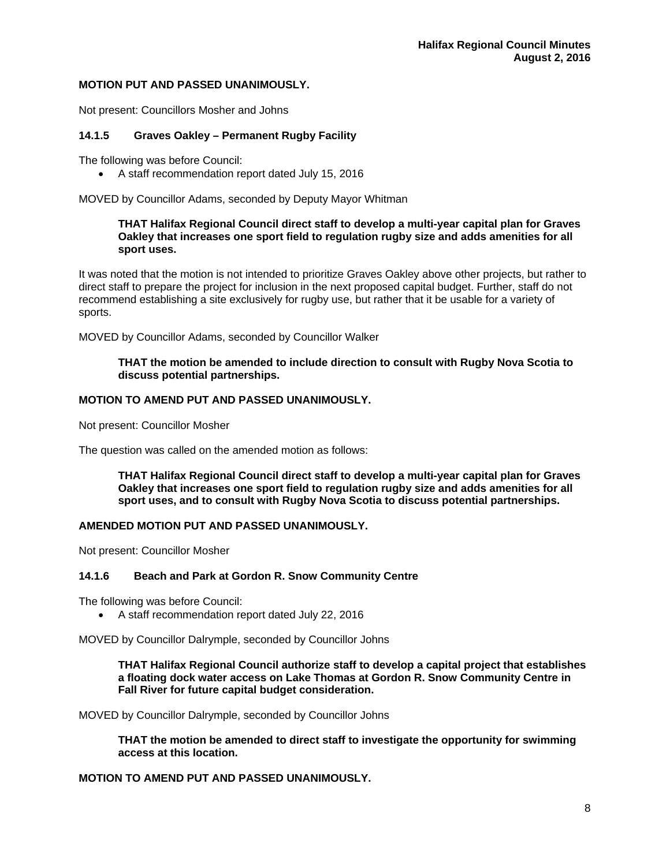## **MOTION PUT AND PASSED UNANIMOUSLY.**

Not present: Councillors Mosher and Johns

# **14.1.5 Graves Oakley – Permanent Rugby Facility**

The following was before Council:

A staff recommendation report dated July 15, 2016

MOVED by Councillor Adams, seconded by Deputy Mayor Whitman

## **THAT Halifax Regional Council direct staff to develop a multi-year capital plan for Graves Oakley that increases one sport field to regulation rugby size and adds amenities for all sport uses.**

It was noted that the motion is not intended to prioritize Graves Oakley above other projects, but rather to direct staff to prepare the project for inclusion in the next proposed capital budget. Further, staff do not recommend establishing a site exclusively for rugby use, but rather that it be usable for a variety of sports.

MOVED by Councillor Adams, seconded by Councillor Walker

## **THAT the motion be amended to include direction to consult with Rugby Nova Scotia to discuss potential partnerships.**

# **MOTION TO AMEND PUT AND PASSED UNANIMOUSLY.**

Not present: Councillor Mosher

The question was called on the amended motion as follows:

**THAT Halifax Regional Council direct staff to develop a multi-year capital plan for Graves Oakley that increases one sport field to regulation rugby size and adds amenities for all sport uses, and to consult with Rugby Nova Scotia to discuss potential partnerships.** 

## **AMENDED MOTION PUT AND PASSED UNANIMOUSLY.**

Not present: Councillor Mosher

## **14.1.6 Beach and Park at Gordon R. Snow Community Centre**

The following was before Council:

A staff recommendation report dated July 22, 2016

MOVED by Councillor Dalrymple, seconded by Councillor Johns

**THAT Halifax Regional Council authorize staff to develop a capital project that establishes a floating dock water access on Lake Thomas at Gordon R. Snow Community Centre in Fall River for future capital budget consideration.** 

MOVED by Councillor Dalrymple, seconded by Councillor Johns

**THAT the motion be amended to direct staff to investigate the opportunity for swimming access at this location.** 

## **MOTION TO AMEND PUT AND PASSED UNANIMOUSLY.**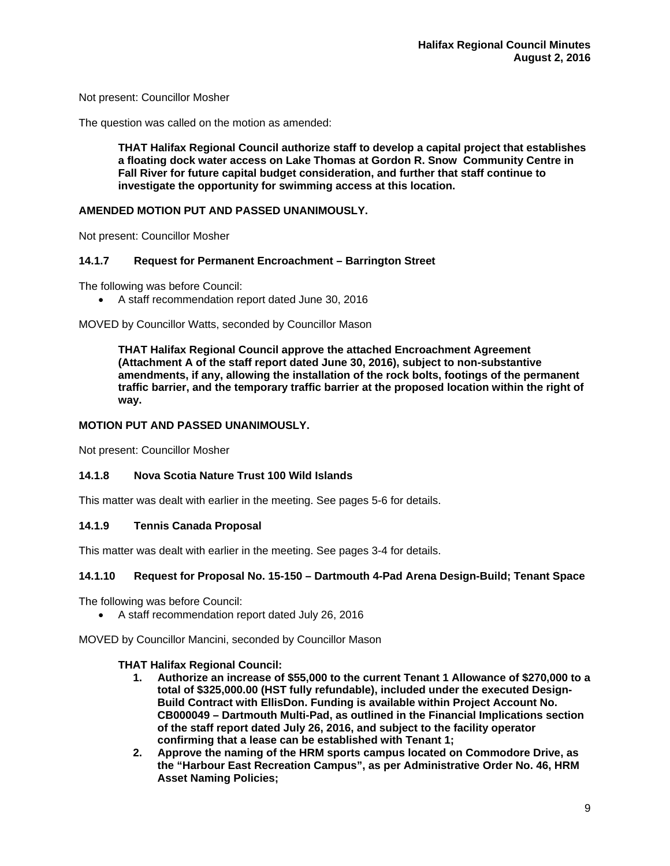Not present: Councillor Mosher

The question was called on the motion as amended:

**THAT Halifax Regional Council authorize staff to develop a capital project that establishes a floating dock water access on Lake Thomas at Gordon R. Snow Community Centre in Fall River for future capital budget consideration, and further that staff continue to investigate the opportunity for swimming access at this location.** 

## **AMENDED MOTION PUT AND PASSED UNANIMOUSLY.**

Not present: Councillor Mosher

## **14.1.7 Request for Permanent Encroachment – Barrington Street**

The following was before Council:

A staff recommendation report dated June 30, 2016

MOVED by Councillor Watts, seconded by Councillor Mason

**THAT Halifax Regional Council approve the attached Encroachment Agreement (Attachment A of the staff report dated June 30, 2016), subject to non-substantive amendments, if any, allowing the installation of the rock bolts, footings of the permanent traffic barrier, and the temporary traffic barrier at the proposed location within the right of way.** 

#### **MOTION PUT AND PASSED UNANIMOUSLY.**

Not present: Councillor Mosher

## **14.1.8 Nova Scotia Nature Trust 100 Wild Islands**

This matter was dealt with earlier in the meeting. See pages 5-6 for details.

## **14.1.9 Tennis Canada Proposal**

This matter was dealt with earlier in the meeting. See pages 3-4 for details.

## **14.1.10 Request for Proposal No. 15-150 – Dartmouth 4-Pad Arena Design-Build; Tenant Space**

The following was before Council:

A staff recommendation report dated July 26, 2016

MOVED by Councillor Mancini, seconded by Councillor Mason

#### **THAT Halifax Regional Council:**

- **1. Authorize an increase of \$55,000 to the current Tenant 1 Allowance of \$270,000 to a total of \$325,000.00 (HST fully refundable), included under the executed Design-Build Contract with EllisDon. Funding is available within Project Account No. CB000049 – Dartmouth Multi-Pad, as outlined in the Financial Implications section of the staff report dated July 26, 2016, and subject to the facility operator confirming that a lease can be established with Tenant 1;**
- **2. Approve the naming of the HRM sports campus located on Commodore Drive, as the "Harbour East Recreation Campus", as per Administrative Order No. 46, HRM Asset Naming Policies;**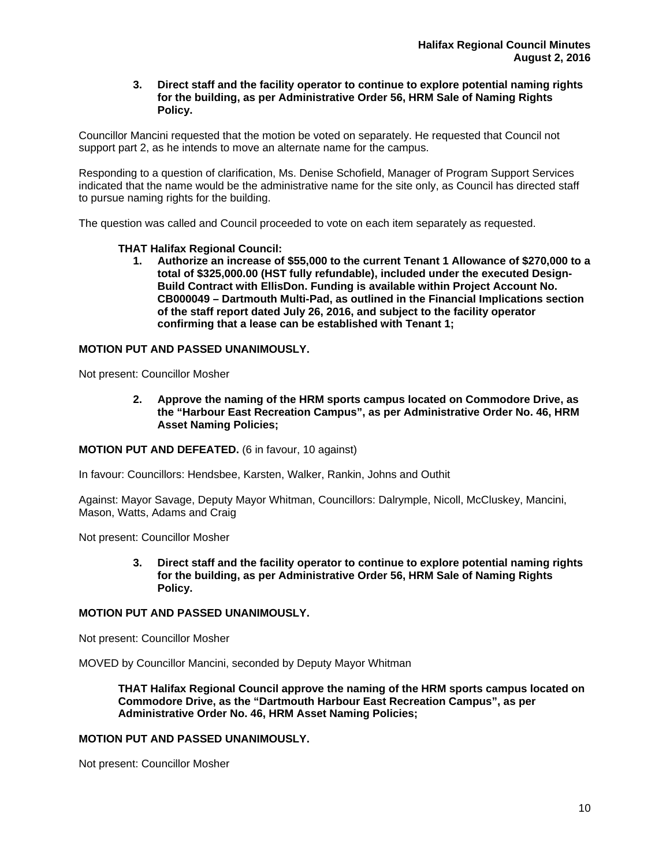## **3. Direct staff and the facility operator to continue to explore potential naming rights for the building, as per Administrative Order 56, HRM Sale of Naming Rights Policy.**

Councillor Mancini requested that the motion be voted on separately. He requested that Council not support part 2, as he intends to move an alternate name for the campus.

Responding to a question of clarification, Ms. Denise Schofield, Manager of Program Support Services indicated that the name would be the administrative name for the site only, as Council has directed staff to pursue naming rights for the building.

The question was called and Council proceeded to vote on each item separately as requested.

## **THAT Halifax Regional Council:**

**1. Authorize an increase of \$55,000 to the current Tenant 1 Allowance of \$270,000 to a total of \$325,000.00 (HST fully refundable), included under the executed Design-Build Contract with EllisDon. Funding is available within Project Account No. CB000049 – Dartmouth Multi-Pad, as outlined in the Financial Implications section of the staff report dated July 26, 2016, and subject to the facility operator confirming that a lease can be established with Tenant 1;** 

# **MOTION PUT AND PASSED UNANIMOUSLY.**

Not present: Councillor Mosher

**2. Approve the naming of the HRM sports campus located on Commodore Drive, as the "Harbour East Recreation Campus", as per Administrative Order No. 46, HRM Asset Naming Policies;** 

**MOTION PUT AND DEFEATED.** (6 in favour, 10 against)

In favour: Councillors: Hendsbee, Karsten, Walker, Rankin, Johns and Outhit

Against: Mayor Savage, Deputy Mayor Whitman, Councillors: Dalrymple, Nicoll, McCluskey, Mancini, Mason, Watts, Adams and Craig

Not present: Councillor Mosher

**3. Direct staff and the facility operator to continue to explore potential naming rights for the building, as per Administrative Order 56, HRM Sale of Naming Rights Policy.** 

# **MOTION PUT AND PASSED UNANIMOUSLY.**

Not present: Councillor Mosher

MOVED by Councillor Mancini, seconded by Deputy Mayor Whitman

**THAT Halifax Regional Council approve the naming of the HRM sports campus located on Commodore Drive, as the "Dartmouth Harbour East Recreation Campus", as per Administrative Order No. 46, HRM Asset Naming Policies;** 

# **MOTION PUT AND PASSED UNANIMOUSLY.**

Not present: Councillor Mosher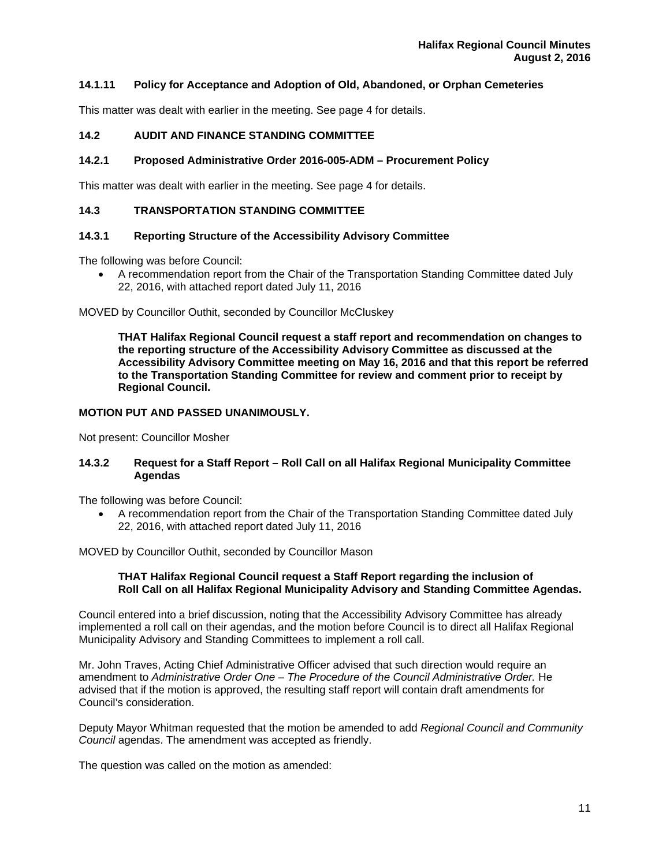# **14.1.11 Policy for Acceptance and Adoption of Old, Abandoned, or Orphan Cemeteries**

This matter was dealt with earlier in the meeting. See page 4 for details.

# **14.2 AUDIT AND FINANCE STANDING COMMITTEE**

## **14.2.1 Proposed Administrative Order 2016-005-ADM – Procurement Policy**

This matter was dealt with earlier in the meeting. See page 4 for details.

## **14.3 TRANSPORTATION STANDING COMMITTEE**

## **14.3.1 Reporting Structure of the Accessibility Advisory Committee**

The following was before Council:

 A recommendation report from the Chair of the Transportation Standing Committee dated July 22, 2016, with attached report dated July 11, 2016

MOVED by Councillor Outhit, seconded by Councillor McCluskey

**THAT Halifax Regional Council request a staff report and recommendation on changes to the reporting structure of the Accessibility Advisory Committee as discussed at the Accessibility Advisory Committee meeting on May 16, 2016 and that this report be referred to the Transportation Standing Committee for review and comment prior to receipt by Regional Council.** 

## **MOTION PUT AND PASSED UNANIMOUSLY.**

Not present: Councillor Mosher

# **14.3.2 Request for a Staff Report – Roll Call on all Halifax Regional Municipality Committee Agendas**

The following was before Council:

 A recommendation report from the Chair of the Transportation Standing Committee dated July 22, 2016, with attached report dated July 11, 2016

MOVED by Councillor Outhit, seconded by Councillor Mason

#### **THAT Halifax Regional Council request a Staff Report regarding the inclusion of Roll Call on all Halifax Regional Municipality Advisory and Standing Committee Agendas.**

Council entered into a brief discussion, noting that the Accessibility Advisory Committee has already implemented a roll call on their agendas, and the motion before Council is to direct all Halifax Regional Municipality Advisory and Standing Committees to implement a roll call.

Mr. John Traves, Acting Chief Administrative Officer advised that such direction would require an amendment to *Administrative Order One – The Procedure of the Council Administrative Order.* He advised that if the motion is approved, the resulting staff report will contain draft amendments for Council's consideration.

Deputy Mayor Whitman requested that the motion be amended to add *Regional Council and Community Council* agendas. The amendment was accepted as friendly.

The question was called on the motion as amended: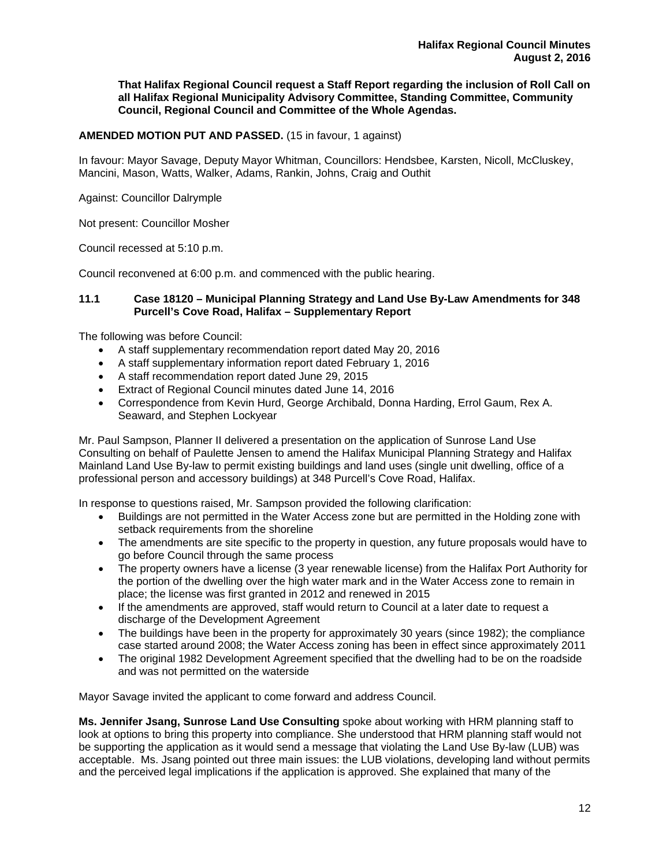**That Halifax Regional Council request a Staff Report regarding the inclusion of Roll Call on all Halifax Regional Municipality Advisory Committee, Standing Committee, Community Council, Regional Council and Committee of the Whole Agendas.** 

# **AMENDED MOTION PUT AND PASSED.** (15 in favour, 1 against)

In favour: Mayor Savage, Deputy Mayor Whitman, Councillors: Hendsbee, Karsten, Nicoll, McCluskey, Mancini, Mason, Watts, Walker, Adams, Rankin, Johns, Craig and Outhit

Against: Councillor Dalrymple

Not present: Councillor Mosher

Council recessed at 5:10 p.m.

Council reconvened at 6:00 p.m. and commenced with the public hearing.

#### **11.1 Case 18120 – Municipal Planning Strategy and Land Use By-Law Amendments for 348 Purcell's Cove Road, Halifax – Supplementary Report**

The following was before Council:

- A staff supplementary recommendation report dated May 20, 2016
- A staff supplementary information report dated February 1, 2016
- A staff recommendation report dated June 29, 2015
- Extract of Regional Council minutes dated June 14, 2016
- Correspondence from Kevin Hurd, George Archibald, Donna Harding, Errol Gaum, Rex A. Seaward, and Stephen Lockyear

Mr. Paul Sampson, Planner II delivered a presentation on the application of Sunrose Land Use Consulting on behalf of Paulette Jensen to amend the Halifax Municipal Planning Strategy and Halifax Mainland Land Use By-law to permit existing buildings and land uses (single unit dwelling, office of a professional person and accessory buildings) at 348 Purcell's Cove Road, Halifax.

In response to questions raised, Mr. Sampson provided the following clarification:

- Buildings are not permitted in the Water Access zone but are permitted in the Holding zone with setback requirements from the shoreline
- The amendments are site specific to the property in question, any future proposals would have to go before Council through the same process
- The property owners have a license (3 year renewable license) from the Halifax Port Authority for the portion of the dwelling over the high water mark and in the Water Access zone to remain in place; the license was first granted in 2012 and renewed in 2015
- If the amendments are approved, staff would return to Council at a later date to request a discharge of the Development Agreement
- The buildings have been in the property for approximately 30 years (since 1982); the compliance case started around 2008; the Water Access zoning has been in effect since approximately 2011
- The original 1982 Development Agreement specified that the dwelling had to be on the roadside and was not permitted on the waterside

Mayor Savage invited the applicant to come forward and address Council.

**Ms. Jennifer Jsang, Sunrose Land Use Consulting** spoke about working with HRM planning staff to look at options to bring this property into compliance. She understood that HRM planning staff would not be supporting the application as it would send a message that violating the Land Use By-law (LUB) was acceptable. Ms. Jsang pointed out three main issues: the LUB violations, developing land without permits and the perceived legal implications if the application is approved. She explained that many of the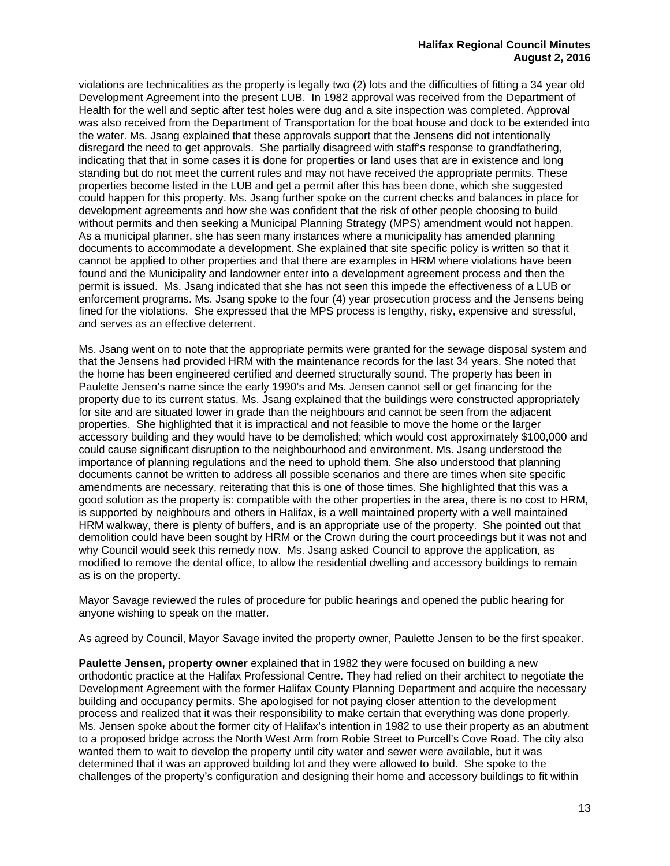violations are technicalities as the property is legally two (2) lots and the difficulties of fitting a 34 year old Development Agreement into the present LUB. In 1982 approval was received from the Department of Health for the well and septic after test holes were dug and a site inspection was completed. Approval was also received from the Department of Transportation for the boat house and dock to be extended into the water. Ms. Jsang explained that these approvals support that the Jensens did not intentionally disregard the need to get approvals. She partially disagreed with staff's response to grandfathering, indicating that that in some cases it is done for properties or land uses that are in existence and long standing but do not meet the current rules and may not have received the appropriate permits. These properties become listed in the LUB and get a permit after this has been done, which she suggested could happen for this property. Ms. Jsang further spoke on the current checks and balances in place for development agreements and how she was confident that the risk of other people choosing to build without permits and then seeking a Municipal Planning Strategy (MPS) amendment would not happen. As a municipal planner, she has seen many instances where a municipality has amended planning documents to accommodate a development. She explained that site specific policy is written so that it cannot be applied to other properties and that there are examples in HRM where violations have been found and the Municipality and landowner enter into a development agreement process and then the permit is issued. Ms. Jsang indicated that she has not seen this impede the effectiveness of a LUB or enforcement programs. Ms. Jsang spoke to the four (4) year prosecution process and the Jensens being fined for the violations. She expressed that the MPS process is lengthy, risky, expensive and stressful, and serves as an effective deterrent.

Ms. Jsang went on to note that the appropriate permits were granted for the sewage disposal system and that the Jensens had provided HRM with the maintenance records for the last 34 years. She noted that the home has been engineered certified and deemed structurally sound. The property has been in Paulette Jensen's name since the early 1990's and Ms. Jensen cannot sell or get financing for the property due to its current status. Ms. Jsang explained that the buildings were constructed appropriately for site and are situated lower in grade than the neighbours and cannot be seen from the adjacent properties. She highlighted that it is impractical and not feasible to move the home or the larger accessory building and they would have to be demolished; which would cost approximately \$100,000 and could cause significant disruption to the neighbourhood and environment. Ms. Jsang understood the importance of planning regulations and the need to uphold them. She also understood that planning documents cannot be written to address all possible scenarios and there are times when site specific amendments are necessary, reiterating that this is one of those times. She highlighted that this was a good solution as the property is: compatible with the other properties in the area, there is no cost to HRM, is supported by neighbours and others in Halifax, is a well maintained property with a well maintained HRM walkway, there is plenty of buffers, and is an appropriate use of the property. She pointed out that demolition could have been sought by HRM or the Crown during the court proceedings but it was not and why Council would seek this remedy now. Ms. Jsang asked Council to approve the application, as modified to remove the dental office, to allow the residential dwelling and accessory buildings to remain as is on the property.

Mayor Savage reviewed the rules of procedure for public hearings and opened the public hearing for anyone wishing to speak on the matter.

As agreed by Council, Mayor Savage invited the property owner, Paulette Jensen to be the first speaker.

**Paulette Jensen, property owner** explained that in 1982 they were focused on building a new orthodontic practice at the Halifax Professional Centre. They had relied on their architect to negotiate the Development Agreement with the former Halifax County Planning Department and acquire the necessary building and occupancy permits. She apologised for not paying closer attention to the development process and realized that it was their responsibility to make certain that everything was done properly. Ms. Jensen spoke about the former city of Halifax's intention in 1982 to use their property as an abutment to a proposed bridge across the North West Arm from Robie Street to Purcell's Cove Road. The city also wanted them to wait to develop the property until city water and sewer were available, but it was determined that it was an approved building lot and they were allowed to build. She spoke to the challenges of the property's configuration and designing their home and accessory buildings to fit within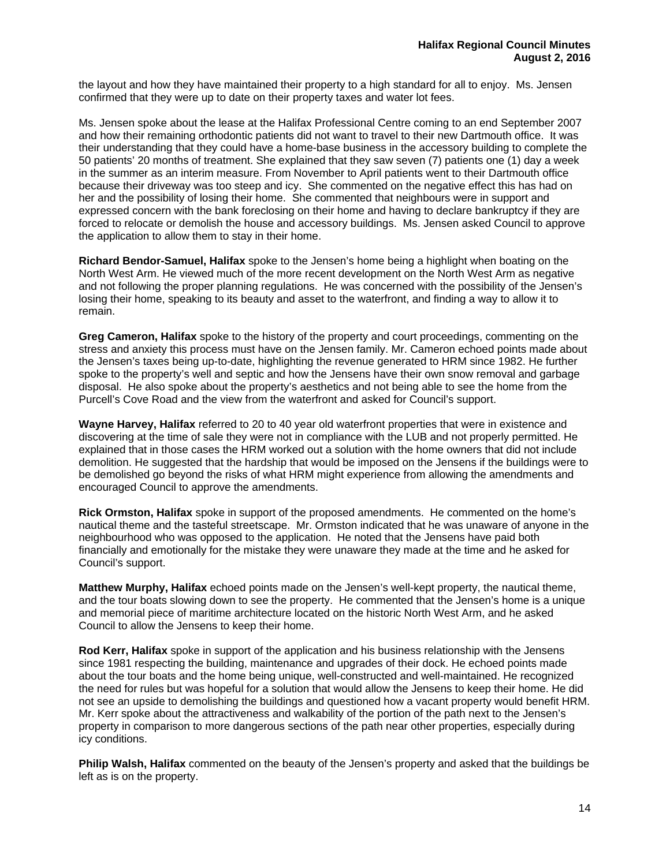the layout and how they have maintained their property to a high standard for all to enjoy. Ms. Jensen confirmed that they were up to date on their property taxes and water lot fees.

Ms. Jensen spoke about the lease at the Halifax Professional Centre coming to an end September 2007 and how their remaining orthodontic patients did not want to travel to their new Dartmouth office. It was their understanding that they could have a home-base business in the accessory building to complete the 50 patients' 20 months of treatment. She explained that they saw seven (7) patients one (1) day a week in the summer as an interim measure. From November to April patients went to their Dartmouth office because their driveway was too steep and icy. She commented on the negative effect this has had on her and the possibility of losing their home. She commented that neighbours were in support and expressed concern with the bank foreclosing on their home and having to declare bankruptcy if they are forced to relocate or demolish the house and accessory buildings. Ms. Jensen asked Council to approve the application to allow them to stay in their home.

**Richard Bendor-Samuel, Halifax** spoke to the Jensen's home being a highlight when boating on the North West Arm. He viewed much of the more recent development on the North West Arm as negative and not following the proper planning regulations. He was concerned with the possibility of the Jensen's losing their home, speaking to its beauty and asset to the waterfront, and finding a way to allow it to remain.

**Greg Cameron, Halifax** spoke to the history of the property and court proceedings, commenting on the stress and anxiety this process must have on the Jensen family. Mr. Cameron echoed points made about the Jensen's taxes being up-to-date, highlighting the revenue generated to HRM since 1982. He further spoke to the property's well and septic and how the Jensens have their own snow removal and garbage disposal. He also spoke about the property's aesthetics and not being able to see the home from the Purcell's Cove Road and the view from the waterfront and asked for Council's support.

**Wayne Harvey, Halifax** referred to 20 to 40 year old waterfront properties that were in existence and discovering at the time of sale they were not in compliance with the LUB and not properly permitted. He explained that in those cases the HRM worked out a solution with the home owners that did not include demolition. He suggested that the hardship that would be imposed on the Jensens if the buildings were to be demolished go beyond the risks of what HRM might experience from allowing the amendments and encouraged Council to approve the amendments.

**Rick Ormston, Halifax** spoke in support of the proposed amendments. He commented on the home's nautical theme and the tasteful streetscape. Mr. Ormston indicated that he was unaware of anyone in the neighbourhood who was opposed to the application. He noted that the Jensens have paid both financially and emotionally for the mistake they were unaware they made at the time and he asked for Council's support.

**Matthew Murphy, Halifax** echoed points made on the Jensen's well-kept property, the nautical theme, and the tour boats slowing down to see the property. He commented that the Jensen's home is a unique and memorial piece of maritime architecture located on the historic North West Arm, and he asked Council to allow the Jensens to keep their home.

**Rod Kerr, Halifax** spoke in support of the application and his business relationship with the Jensens since 1981 respecting the building, maintenance and upgrades of their dock. He echoed points made about the tour boats and the home being unique, well-constructed and well-maintained. He recognized the need for rules but was hopeful for a solution that would allow the Jensens to keep their home. He did not see an upside to demolishing the buildings and questioned how a vacant property would benefit HRM. Mr. Kerr spoke about the attractiveness and walkability of the portion of the path next to the Jensen's property in comparison to more dangerous sections of the path near other properties, especially during icy conditions.

**Philip Walsh, Halifax** commented on the beauty of the Jensen's property and asked that the buildings be left as is on the property.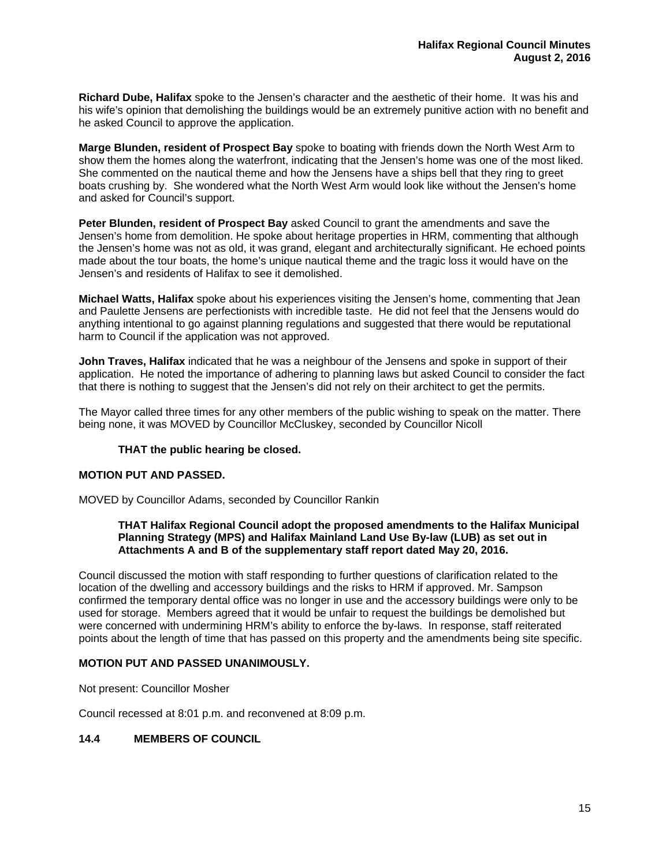**Richard Dube, Halifax** spoke to the Jensen's character and the aesthetic of their home. It was his and his wife's opinion that demolishing the buildings would be an extremely punitive action with no benefit and he asked Council to approve the application.

**Marge Blunden, resident of Prospect Bay** spoke to boating with friends down the North West Arm to show them the homes along the waterfront, indicating that the Jensen's home was one of the most liked. She commented on the nautical theme and how the Jensens have a ships bell that they ring to greet boats crushing by. She wondered what the North West Arm would look like without the Jensen's home and asked for Council's support.

**Peter Blunden, resident of Prospect Bay** asked Council to grant the amendments and save the Jensen's home from demolition. He spoke about heritage properties in HRM, commenting that although the Jensen's home was not as old, it was grand, elegant and architecturally significant. He echoed points made about the tour boats, the home's unique nautical theme and the tragic loss it would have on the Jensen's and residents of Halifax to see it demolished.

**Michael Watts, Halifax** spoke about his experiences visiting the Jensen's home, commenting that Jean and Paulette Jensens are perfectionists with incredible taste. He did not feel that the Jensens would do anything intentional to go against planning regulations and suggested that there would be reputational harm to Council if the application was not approved.

**John Traves, Halifax** indicated that he was a neighbour of the Jensens and spoke in support of their application. He noted the importance of adhering to planning laws but asked Council to consider the fact that there is nothing to suggest that the Jensen's did not rely on their architect to get the permits.

The Mayor called three times for any other members of the public wishing to speak on the matter. There being none, it was MOVED by Councillor McCluskey, seconded by Councillor Nicoll

## **THAT the public hearing be closed.**

## **MOTION PUT AND PASSED.**

MOVED by Councillor Adams, seconded by Councillor Rankin

## **THAT Halifax Regional Council adopt the proposed amendments to the Halifax Municipal Planning Strategy (MPS) and Halifax Mainland Land Use By-law (LUB) as set out in Attachments A and B of the supplementary staff report dated May 20, 2016.**

Council discussed the motion with staff responding to further questions of clarification related to the location of the dwelling and accessory buildings and the risks to HRM if approved. Mr. Sampson confirmed the temporary dental office was no longer in use and the accessory buildings were only to be used for storage. Members agreed that it would be unfair to request the buildings be demolished but were concerned with undermining HRM's ability to enforce the by-laws. In response, staff reiterated points about the length of time that has passed on this property and the amendments being site specific.

## **MOTION PUT AND PASSED UNANIMOUSLY.**

Not present: Councillor Mosher

Council recessed at 8:01 p.m. and reconvened at 8:09 p.m.

# **14.4 MEMBERS OF COUNCIL**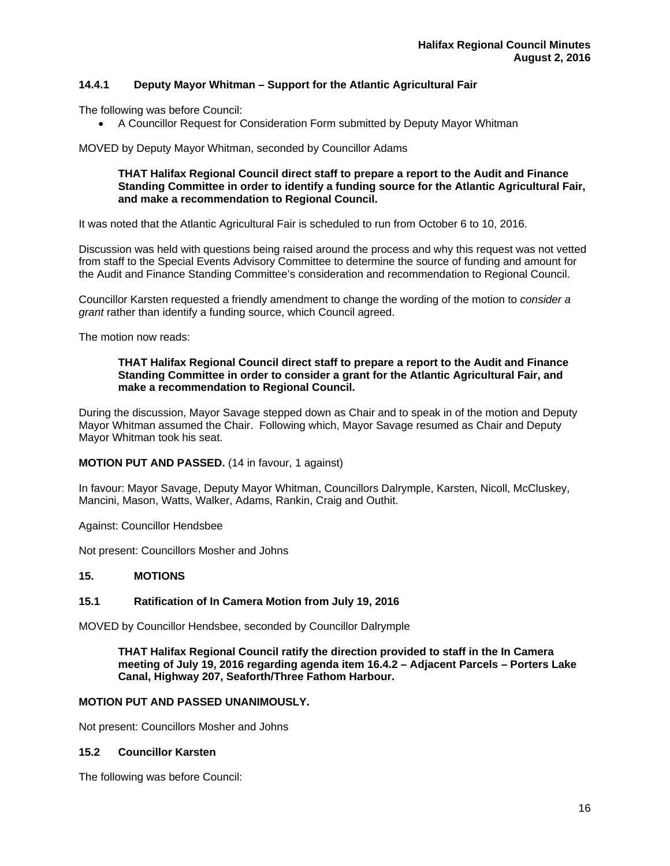# **14.4.1 Deputy Mayor Whitman – Support for the Atlantic Agricultural Fair**

The following was before Council:

A Councillor Request for Consideration Form submitted by Deputy Mayor Whitman

MOVED by Deputy Mayor Whitman, seconded by Councillor Adams

## **THAT Halifax Regional Council direct staff to prepare a report to the Audit and Finance Standing Committee in order to identify a funding source for the Atlantic Agricultural Fair, and make a recommendation to Regional Council.**

It was noted that the Atlantic Agricultural Fair is scheduled to run from October 6 to 10, 2016.

Discussion was held with questions being raised around the process and why this request was not vetted from staff to the Special Events Advisory Committee to determine the source of funding and amount for the Audit and Finance Standing Committee's consideration and recommendation to Regional Council.

Councillor Karsten requested a friendly amendment to change the wording of the motion to *consider a grant* rather than identify a funding source, which Council agreed.

The motion now reads:

#### **THAT Halifax Regional Council direct staff to prepare a report to the Audit and Finance Standing Committee in order to consider a grant for the Atlantic Agricultural Fair, and make a recommendation to Regional Council.**

During the discussion, Mayor Savage stepped down as Chair and to speak in of the motion and Deputy Mayor Whitman assumed the Chair. Following which, Mayor Savage resumed as Chair and Deputy Mayor Whitman took his seat.

# **MOTION PUT AND PASSED.** (14 in favour, 1 against)

In favour: Mayor Savage, Deputy Mayor Whitman, Councillors Dalrymple, Karsten, Nicoll, McCluskey, Mancini, Mason, Watts, Walker, Adams, Rankin, Craig and Outhit.

Against: Councillor Hendsbee

Not present: Councillors Mosher and Johns

## **15. MOTIONS**

# **15.1 Ratification of In Camera Motion from July 19, 2016**

MOVED by Councillor Hendsbee, seconded by Councillor Dalrymple

**THAT Halifax Regional Council ratify the direction provided to staff in the In Camera meeting of July 19, 2016 regarding agenda item 16.4.2 – Adjacent Parcels – Porters Lake Canal, Highway 207, Seaforth/Three Fathom Harbour.** 

## **MOTION PUT AND PASSED UNANIMOUSLY.**

Not present: Councillors Mosher and Johns

# **15.2 Councillor Karsten**

The following was before Council: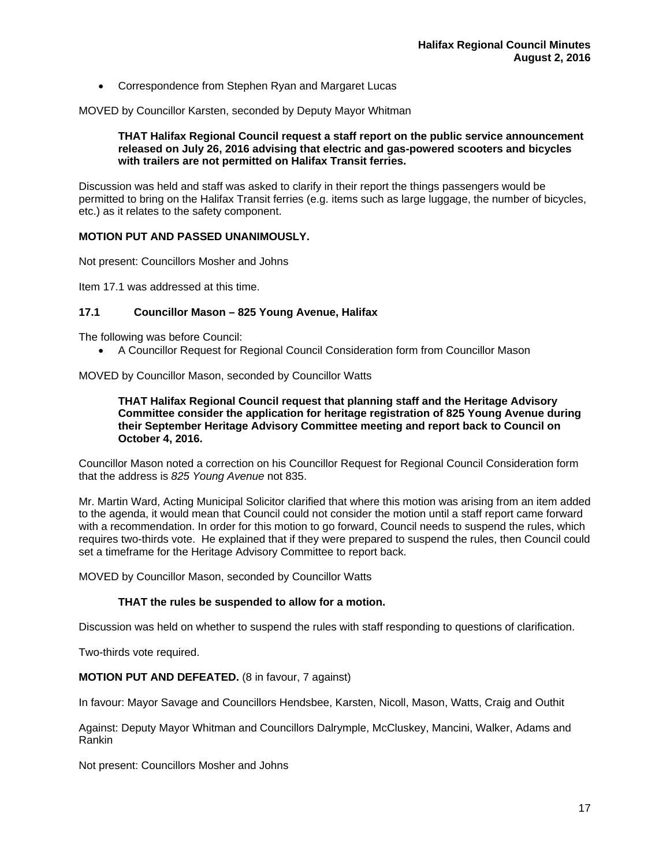Correspondence from Stephen Ryan and Margaret Lucas

MOVED by Councillor Karsten, seconded by Deputy Mayor Whitman

#### **THAT Halifax Regional Council request a staff report on the public service announcement released on July 26, 2016 advising that electric and gas-powered scooters and bicycles with trailers are not permitted on Halifax Transit ferries.**

Discussion was held and staff was asked to clarify in their report the things passengers would be permitted to bring on the Halifax Transit ferries (e.g. items such as large luggage, the number of bicycles, etc.) as it relates to the safety component.

# **MOTION PUT AND PASSED UNANIMOUSLY.**

Not present: Councillors Mosher and Johns

Item 17.1 was addressed at this time.

# **17.1 Councillor Mason – 825 Young Avenue, Halifax**

The following was before Council:

A Councillor Request for Regional Council Consideration form from Councillor Mason

MOVED by Councillor Mason, seconded by Councillor Watts

## **THAT Halifax Regional Council request that planning staff and the Heritage Advisory Committee consider the application for heritage registration of 825 Young Avenue during their September Heritage Advisory Committee meeting and report back to Council on October 4, 2016.**

Councillor Mason noted a correction on his Councillor Request for Regional Council Consideration form that the address is *825 Young Avenue* not 835.

Mr. Martin Ward, Acting Municipal Solicitor clarified that where this motion was arising from an item added to the agenda, it would mean that Council could not consider the motion until a staff report came forward with a recommendation. In order for this motion to go forward, Council needs to suspend the rules, which requires two-thirds vote. He explained that if they were prepared to suspend the rules, then Council could set a timeframe for the Heritage Advisory Committee to report back.

MOVED by Councillor Mason, seconded by Councillor Watts

## **THAT the rules be suspended to allow for a motion.**

Discussion was held on whether to suspend the rules with staff responding to questions of clarification.

Two-thirds vote required.

## **MOTION PUT AND DEFEATED.** (8 in favour, 7 against)

In favour: Mayor Savage and Councillors Hendsbee, Karsten, Nicoll, Mason, Watts, Craig and Outhit

Against: Deputy Mayor Whitman and Councillors Dalrymple, McCluskey, Mancini, Walker, Adams and Rankin

Not present: Councillors Mosher and Johns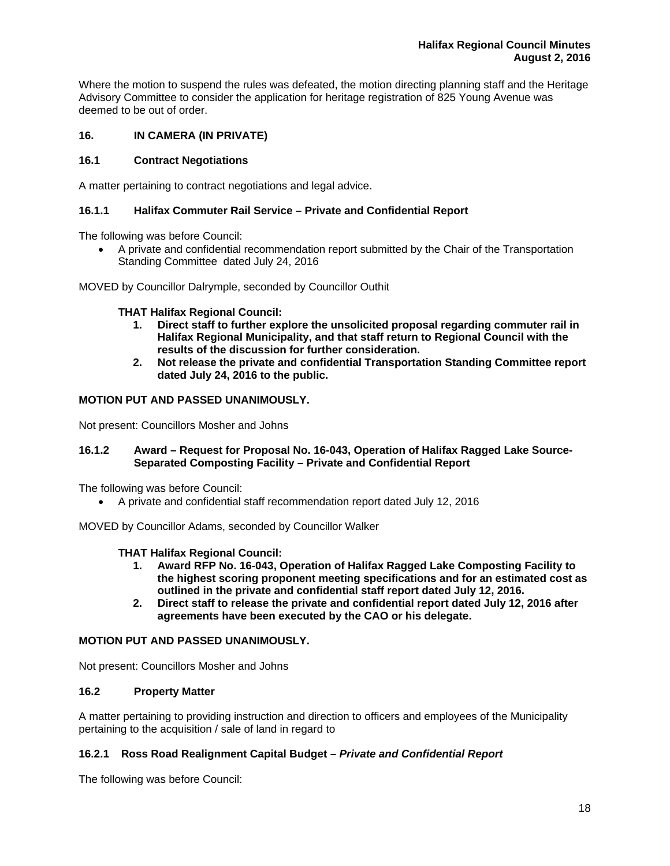Where the motion to suspend the rules was defeated, the motion directing planning staff and the Heritage Advisory Committee to consider the application for heritage registration of 825 Young Avenue was deemed to be out of order.

# **16. IN CAMERA (IN PRIVATE)**

# **16.1 Contract Negotiations**

A matter pertaining to contract negotiations and legal advice.

# **16.1.1 Halifax Commuter Rail Service – Private and Confidential Report**

The following was before Council:

 A private and confidential recommendation report submitted by the Chair of the Transportation Standing Committee dated July 24, 2016

MOVED by Councillor Dalrymple, seconded by Councillor Outhit

**THAT Halifax Regional Council:** 

- **1. Direct staff to further explore the unsolicited proposal regarding commuter rail in Halifax Regional Municipality, and that staff return to Regional Council with the results of the discussion for further consideration.**
- **2. Not release the private and confidential Transportation Standing Committee report dated July 24, 2016 to the public.**

## **MOTION PUT AND PASSED UNANIMOUSLY.**

Not present: Councillors Mosher and Johns

## **16.1.2 Award – Request for Proposal No. 16-043, Operation of Halifax Ragged Lake Source-Separated Composting Facility – Private and Confidential Report**

The following was before Council:

A private and confidential staff recommendation report dated July 12, 2016

MOVED by Councillor Adams, seconded by Councillor Walker

## **THAT Halifax Regional Council:**

- **1. Award RFP No. 16-043, Operation of Halifax Ragged Lake Composting Facility to the highest scoring proponent meeting specifications and for an estimated cost as outlined in the private and confidential staff report dated July 12, 2016.**
- **2. Direct staff to release the private and confidential report dated July 12, 2016 after agreements have been executed by the CAO or his delegate.**

## **MOTION PUT AND PASSED UNANIMOUSLY.**

Not present: Councillors Mosher and Johns

# **16.2 Property Matter**

A matter pertaining to providing instruction and direction to officers and employees of the Municipality pertaining to the acquisition / sale of land in regard to

## **16.2.1 Ross Road Realignment Capital Budget** *– Private and Confidential Report*

The following was before Council: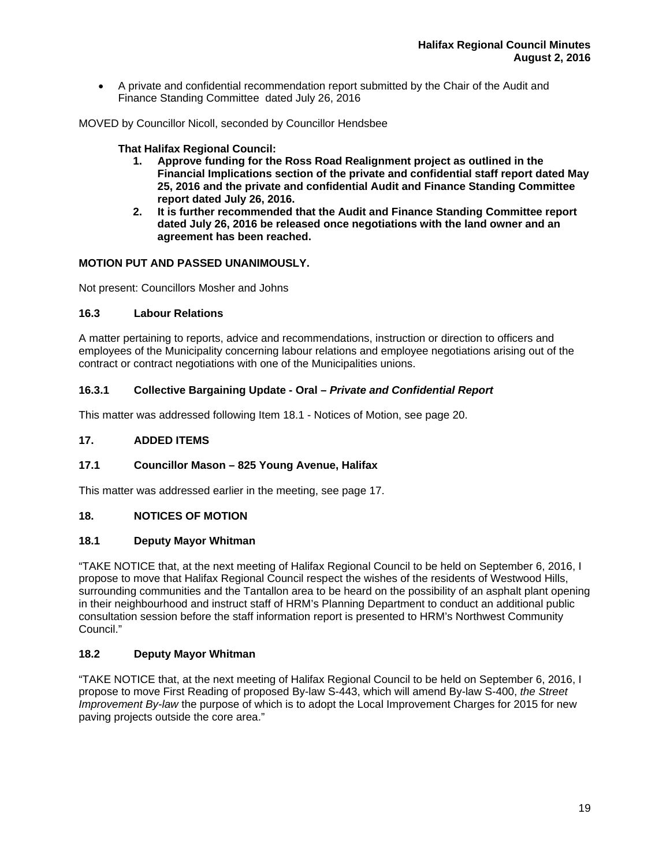A private and confidential recommendation report submitted by the Chair of the Audit and Finance Standing Committee dated July 26, 2016

MOVED by Councillor Nicoll, seconded by Councillor Hendsbee

# **That Halifax Regional Council:**

- **1. Approve funding for the Ross Road Realignment project as outlined in the Financial Implications section of the private and confidential staff report dated May 25, 2016 and the private and confidential Audit and Finance Standing Committee report dated July 26, 2016.**
- **2. It is further recommended that the Audit and Finance Standing Committee report dated July 26, 2016 be released once negotiations with the land owner and an agreement has been reached.**

# **MOTION PUT AND PASSED UNANIMOUSLY.**

Not present: Councillors Mosher and Johns

# **16.3 Labour Relations**

A matter pertaining to reports, advice and recommendations, instruction or direction to officers and employees of the Municipality concerning labour relations and employee negotiations arising out of the contract or contract negotiations with one of the Municipalities unions.

# **16.3.1 Collective Bargaining Update - Oral –** *Private and Confidential Report*

This matter was addressed following Item 18.1 - Notices of Motion, see page 20.

## **17. ADDED ITEMS**

# **17.1 Councillor Mason – 825 Young Avenue, Halifax**

This matter was addressed earlier in the meeting, see page 17.

## **18. NOTICES OF MOTION**

## **18.1 Deputy Mayor Whitman**

"TAKE NOTICE that, at the next meeting of Halifax Regional Council to be held on September 6, 2016, I propose to move that Halifax Regional Council respect the wishes of the residents of Westwood Hills, surrounding communities and the Tantallon area to be heard on the possibility of an asphalt plant opening in their neighbourhood and instruct staff of HRM's Planning Department to conduct an additional public consultation session before the staff information report is presented to HRM's Northwest Community Council."

## **18.2 Deputy Mayor Whitman**

"TAKE NOTICE that, at the next meeting of Halifax Regional Council to be held on September 6, 2016, I propose to move First Reading of proposed By-law S-443, which will amend By-law S-400, *the Street Improvement By-law* the purpose of which is to adopt the Local Improvement Charges for 2015 for new paving projects outside the core area."